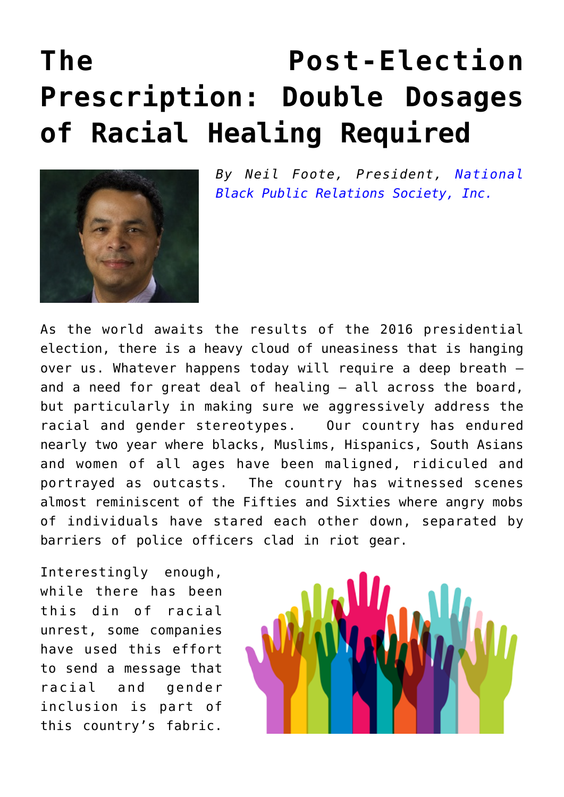## **[The Post-Election](https://www.commpro.biz/the-post-election-prescription-double-dosages-of-racial-healing-required/) [Prescription: Double Dosages](https://www.commpro.biz/the-post-election-prescription-double-dosages-of-racial-healing-required/) [of Racial Healing Required](https://www.commpro.biz/the-post-election-prescription-double-dosages-of-racial-healing-required/)**



*By Neil Foote, President, [National](#page--1-0) [Black Public Relations Society, Inc.](#page--1-0)*

As the world awaits the results of the 2016 presidential election, there is a heavy cloud of uneasiness that is hanging over us. Whatever happens today will require a deep breath – and a need for great deal of healing – all across the board, but particularly in making sure we aggressively address the racial and gender stereotypes. Our country has endured nearly two year where blacks, Muslims, Hispanics, South Asians and women of all ages have been maligned, ridiculed and portrayed as outcasts. The country has witnessed scenes almost reminiscent of the Fifties and Sixties where angry mobs of individuals have stared each other down, separated by barriers of police officers clad in riot gear.

Interestingly enough, while there has been this din of racial unrest, some companies have used this effort to send a message that racial and gender inclusion is part of this country's fabric.

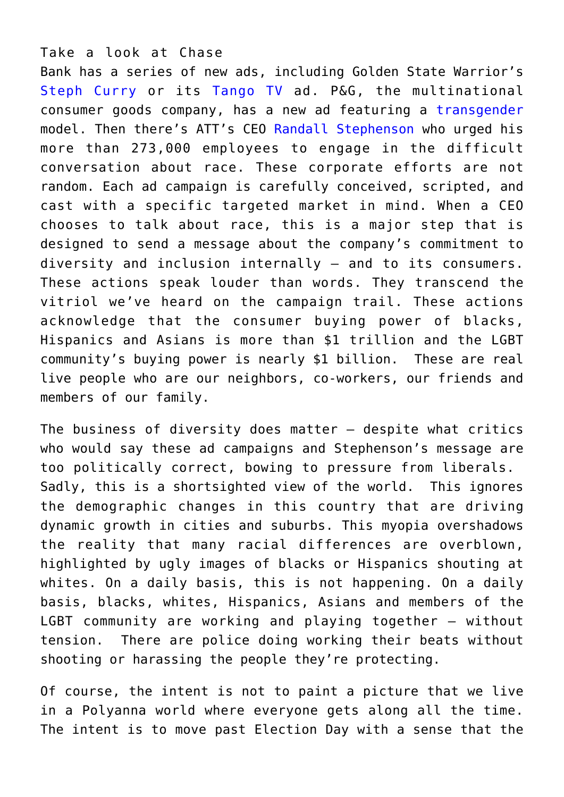Take a look at Chase

Bank has a series of new ads, including Golden State Warrior's [Steph Curry](https://www.youtube.com/watch%3Fv=ppshfXH4IXY) or its [Tango TV](https://www.youtube.com/watch?v=XdFQfOi1WXs) ad. P&G, the multinational consumer goods company, has a new ad featuring a [transgender](https://www.bizjournals.com/cincinnati/news/2016/08/16/p-g-hires-transgender-model-for-ad-campaign.html) model. Then there's ATT's CEO [Randall Stephenson](https://www.cnet.com/news/at-t-ceo-randall-stephenson-defends-black-lives-matter/) who urged his more than 273,000 employees to engage in the difficult conversation about race. These corporate efforts are not random. Each ad campaign is carefully conceived, scripted, and cast with a specific targeted market in mind. When a CEO chooses to talk about race, this is a major step that is designed to send a message about the company's commitment to diversity and inclusion internally – and to its consumers. These actions speak louder than words. They transcend the vitriol we've heard on the campaign trail. These actions acknowledge that the consumer buying power of blacks, Hispanics and Asians is more than \$1 trillion and the LGBT community's buying power is nearly \$1 billion. These are real live people who are our neighbors, co-workers, our friends and members of our family.

The business of diversity does matter – despite what critics who would say these ad campaigns and Stephenson's message are too politically correct, bowing to pressure from liberals. Sadly, this is a shortsighted view of the world. This ignores the demographic changes in this country that are driving dynamic growth in cities and suburbs. This myopia overshadows the reality that many racial differences are overblown, highlighted by ugly images of blacks or Hispanics shouting at whites. On a daily basis, this is not happening. On a daily basis, blacks, whites, Hispanics, Asians and members of the LGBT community are working and playing together – without tension. There are police doing working their beats without shooting or harassing the people they're protecting.

Of course, the intent is not to paint a picture that we live in a Polyanna world where everyone gets along all the time. The intent is to move past Election Day with a sense that the